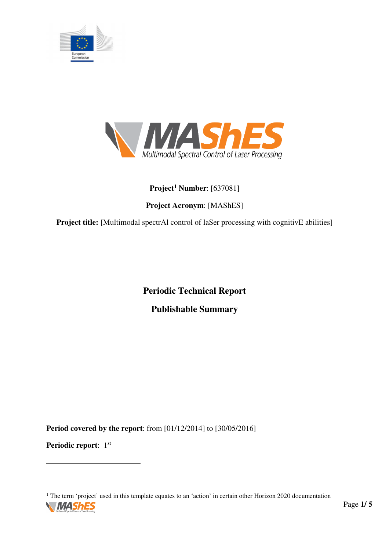



## **Project<sup>1</sup> Number**: [637081]

# **Project Acronym**: [MAShES]

**Project title:** [Multimodal spectrAl control of laSer processing with cognitivE abilities]

**Periodic Technical Report Publishable Summary**

**Period covered by the report**: from [01/12/2014] to [30/05/2016]

**Periodic report:** 1st

<sup>1</sup> The term 'project' used in this template equates to an 'action' in certain other Horizon 2020 documentation



 $\overline{a}$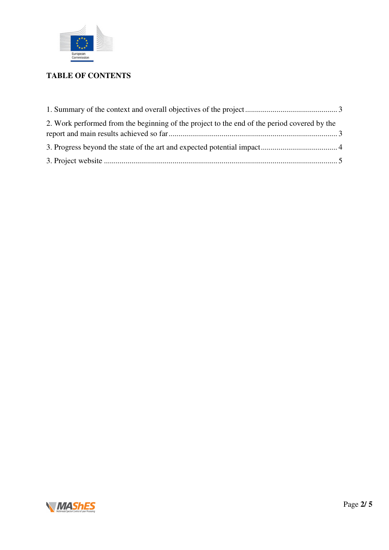

## **TABLE OF CONTENTS**

| 2. Work performed from the beginning of the project to the end of the period covered by the |  |
|---------------------------------------------------------------------------------------------|--|
|                                                                                             |  |
|                                                                                             |  |

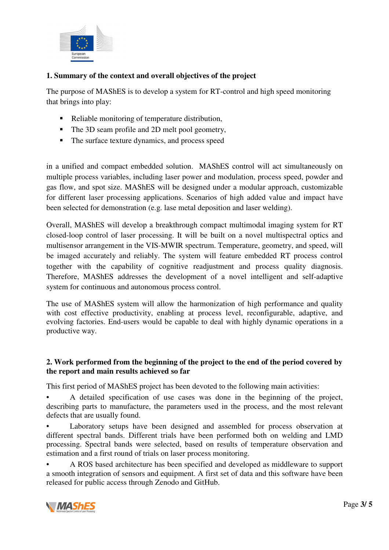

## **1. Summary of the context and overall objectives of the project**

The purpose of MAShES is to develop a system for RT-control and high speed monitoring that brings into play:

- Reliable monitoring of temperature distribution,
- The 3D seam profile and 2D melt pool geometry,
- The surface texture dynamics, and process speed

in a unified and compact embedded solution. MAShES control will act simultaneously on multiple process variables, including laser power and modulation, process speed, powder and gas flow, and spot size. MAShES will be designed under a modular approach, customizable for different laser processing applications. Scenarios of high added value and impact have been selected for demonstration (e.g. lase metal deposition and laser welding).

Overall, MAShES will develop a breakthrough compact multimodal imaging system for RT closed-loop control of laser processing. It will be built on a novel multispectral optics and multisensor arrangement in the VIS-MWIR spectrum. Temperature, geometry, and speed, will be imaged accurately and reliably. The system will feature embedded RT process control together with the capability of cognitive readjustment and process quality diagnosis. Therefore, MAShES addresses the development of a novel intelligent and self-adaptive system for continuous and autonomous process control.

The use of MAShES system will allow the harmonization of high performance and quality with cost effective productivity, enabling at process level, reconfigurable, adaptive, and evolving factories. End-users would be capable to deal with highly dynamic operations in a productive way.

### **2. Work performed from the beginning of the project to the end of the period covered by the report and main results achieved so far**

This first period of MAShES project has been devoted to the following main activities:

• A detailed specification of use cases was done in the beginning of the project, describing parts to manufacture, the parameters used in the process, and the most relevant defects that are usually found.

Laboratory setups have been designed and assembled for process observation at different spectral bands. Different trials have been performed both on welding and LMD processing. Spectral bands were selected, based on results of temperature observation and estimation and a first round of trials on laser process monitoring.

• A ROS based architecture has been specified and developed as middleware to support a smooth integration of sensors and equipment. A first set of data and this software have been released for public access through Zenodo and GitHub.

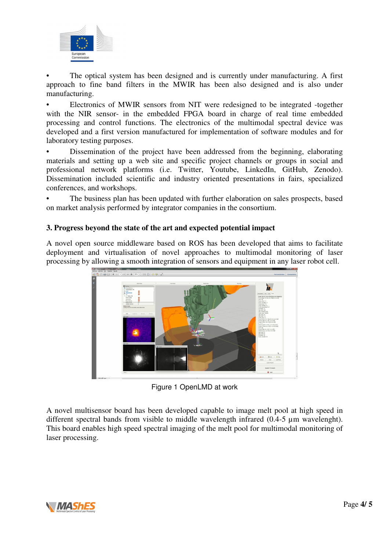

The optical system has been designed and is currently under manufacturing. A first approach to fine band filters in the MWIR has been also designed and is also under manufacturing.

• Electronics of MWIR sensors from NIT were redesigned to be integrated -together with the NIR sensor- in the embedded FPGA board in charge of real time embedded processing and control functions. The electronics of the multimodal spectral device was developed and a first version manufactured for implementation of software modules and for laboratory testing purposes.

• Dissemination of the project have been addressed from the beginning, elaborating materials and setting up a web site and specific project channels or groups in social and professional network platforms (i.e. Twitter, Youtube, LinkedIn, GitHub, Zenodo). Dissemination included scientific and industry oriented presentations in fairs, specialized conferences, and workshops.

The business plan has been updated with further elaboration on sales prospects, based on market analysis performed by integrator companies in the consortium.

### **3. Progress beyond the state of the art and expected potential impact**

A novel open source middleware based on ROS has been developed that aims to facilitate deployment and virtualisation of novel approaches to multimodal monitoring of laser processing by allowing a smooth integration of sensors and equipment in any laser robot cell.



Figure 1 OpenLMD at work

A novel multisensor board has been developed capable to image melt pool at high speed in different spectral bands from visible to middle wavelength infrared (0.4-5 µm wavelenght). This board enables high speed spectral imaging of the melt pool for multimodal monitoring of laser processing.